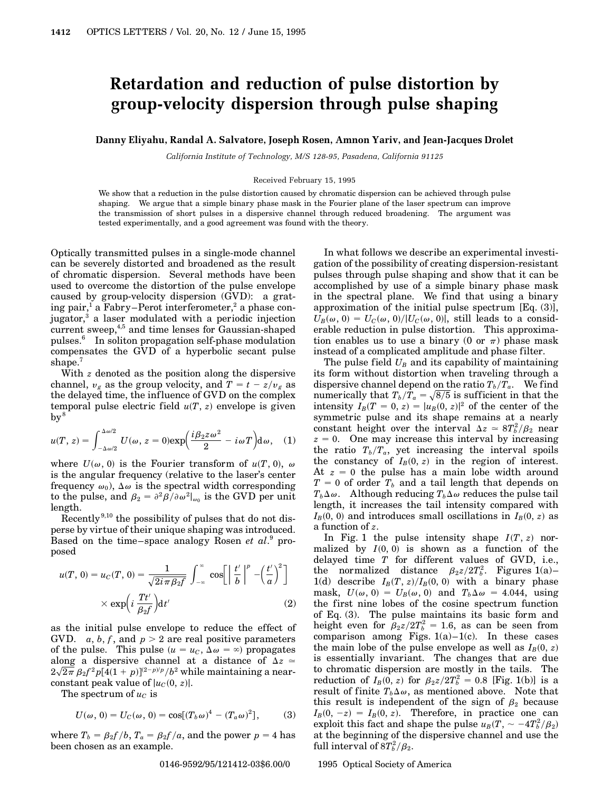## **Retardation and reduction of pulse distortion by group-velocity dispersion through pulse shaping**

**Danny Eliyahu, Randal A. Salvatore, Joseph Rosen, Amnon Yariv, and Jean-Jacques Drolet**

*California Institute of Technology, M/S 128-95, Pasadena, California 91125*

Received February 15, 1995

We show that a reduction in the pulse distortion caused by chromatic dispersion can be achieved through pulse shaping. We argue that a simple binary phase mask in the Fourier plane of the laser spectrum can improve the transmission of short pulses in a dispersive channel through reduced broadening. The argument was tested experimentally, and a good agreement was found with the theory.

Optically transmitted pulses in a single-mode channel can be severely distorted and broadened as the result of chromatic dispersion. Several methods have been used to overcome the distortion of the pulse envelope caused by group-velocity dispersion (GVD): a grating pair,<sup>1</sup> a Fabry–Perot interferometer,<sup>2</sup> a phase conjugator,<sup>3</sup> a laser modulated with a periodic injection current sweep, $4,5$  and time lenses for Gaussian-shaped pulses.<sup>6</sup> In soliton propagation self-phase modulation compensates the GVD of a hyperbolic secant pulse shape.<sup>7</sup>

With *z* denoted as the position along the dispersive channel,  $v_g$  as the group velocity, and  $T = t - z/v_g$  as the delayed time, the influence of GVD on the complex temporal pulse electric field  $u(T, z)$  envelope is given  $\mathrm{bv}^8$ 

$$
u(T, z) = \int_{-\Delta\omega/2}^{\Delta\omega/2} U(\omega, z = 0) \exp\left(\frac{i\beta_2 z \omega^2}{2} - i\omega T\right) d\omega, \quad (1)
$$

where  $U(\omega, 0)$  is the Fourier transform of  $u(T, 0)$ ,  $\omega$ is the angular frequency (relative to the laser's center frequency  $\omega_0$ ,  $\Delta \omega$  is the spectral width corresponding to the pulse, and  $\beta_2 = \frac{\partial^2 \beta}{\partial \omega^2}\Big|_{\omega_0}$  is the GVD per unit length.

Recently 9,10 the possibility of pulses that do not disperse by virtue of their unique shaping was introduced. Based on the time–space analogy Rosen *et al*. <sup>9</sup> proposed

$$
u(T, 0) = u_C(T, 0) = \frac{1}{\sqrt{2i\pi\beta_2 f}} \int_{-\infty}^{\infty} \cos\left[\left|\frac{t'}{b}\right|^p - \left(\frac{t'}{a}\right)^2\right]
$$

$$
\times \exp\left(i\frac{Tt'}{\beta_2 f}\right) dt'
$$
(2)

as the initial pulse envelope to reduce the effect of GVD.  $a, b, f$ , and  $p > 2$  are real positive parameters of the pulse. This pulse  $(u = u_C, \Delta \omega = \infty)$  propagates along a dispersive channel at a distance of  $\Delta z$   $\simeq$  $2\sqrt{2\pi} \, \beta_2 f^2 p [4(1+p)]^{(2-p)/p}/b^2$  while maintaining a nearconstant peak value of  $|u_C(0, z)|$ .

The spectrum of  $u<sub>C</sub>$  is

$$
U(\omega, 0) = U_C(\omega, 0) = \cos[(T_b \omega)^4 - (T_a \omega)^2], \quad (3)
$$

where  $T_b = \frac{\beta_2 f}{b}$ ,  $T_a = \frac{\beta_2 f}{a}$ , and the power  $p = 4$  has been chosen as an example.

In what follows we describe an experimental investigation of the possibility of creating dispersion-resistant pulses through pulse shaping and show that it can be accomplished by use of a simple binary phase mask in the spectral plane. We find that using a binary approximation of the initial pulse spectrum [Eq. (3)],  $U_B(\omega, 0) = U_C(\omega, 0)/|U_C(\omega, 0)|$ , still leads to a considerable reduction in pulse distortion. This approximation enables us to use a binary (0 or  $\pi$ ) phase mask instead of a complicated amplitude and phase filter.

The pulse field  $U_B$  and its capability of maintaining its form without distortion when traveling through a dispersive channel depend on the ratio  $T_b/T_a$ . We find numerically that  $T_b/T_a = \sqrt{8/5}$  is sufficient in that the intensity  $I_B(T = 0, z) = |u_B(0, z)|^2$  of the center of the symmetric pulse and its shape remains at a nearly constant height over the interval  $\Delta z \approx 8T_b^2/\beta_2$  near  $z = 0$ . One may increase this interval by increasing the ratio  $T_b/T_a$ , yet increasing the interval spoils the constancy of  $I_B(0, z)$  in the region of interest. At  $z = 0$  the pulse has a main lobe width around  $T = 0$  of order  $T_b$  and a tail length that depends on  $T_b\Delta\omega$ . Although reducing  $T_b\Delta\omega$  reduces the pulse tail length, it increases the tail intensity compared with  $I_B(0, 0)$  and introduces small oscillations in  $I_B(0, z)$  as a function of *z*.

In Fig. 1 the pulse intensity shape  $I(T, z)$  normalized by  $I(0, 0)$  is shown as a function of the delayed time *T* for different values of GVD, i.e., the normalized distance  $\beta_2 z / 2T_b^2$ . Figures 1(a)– 1(d) describe  $I_B(T, z)/I_B(0, 0)$  with a binary phase mask,  $U(\omega, 0) = U_B(\omega, 0)$  and  $T_b\Delta\omega = 4.044$ , using the first nine lobes of the cosine spectrum function of Eq. (3). The pulse maintains its basic form and height even for  $\beta_2 z / 2T_b^2 = 1.6$ , as can be seen from comparison among Figs.  $1(a)-1(c)$ . In these cases the main lobe of the pulse envelope as well as  $I_B(0, z)$ is essentially invariant. The changes that are due to chromatic dispersion are mostly in the tails. The reduction of  $I_B(0, z)$  for  $\beta_2 z / 2T_b^2 = 0.8$  [Fig. 1(b)] is a result of finite  $T_b \Delta \omega$ , as mentioned above. Note that this result is independent of the sign of  $\beta_2$  because  $I_B(0, -z) = I_B(0, z)$ . Therefore, in practice one can exploit this fact and shape the pulse  $u_B(T_1, \sim -4T_b^2/\beta_2)$ at the beginning of the dispersive channel and use the full interval of  $8T_b^2/\beta_2$ .

0146-9592/95/121412-03\$6.00/0 © 1995 Optical Society of America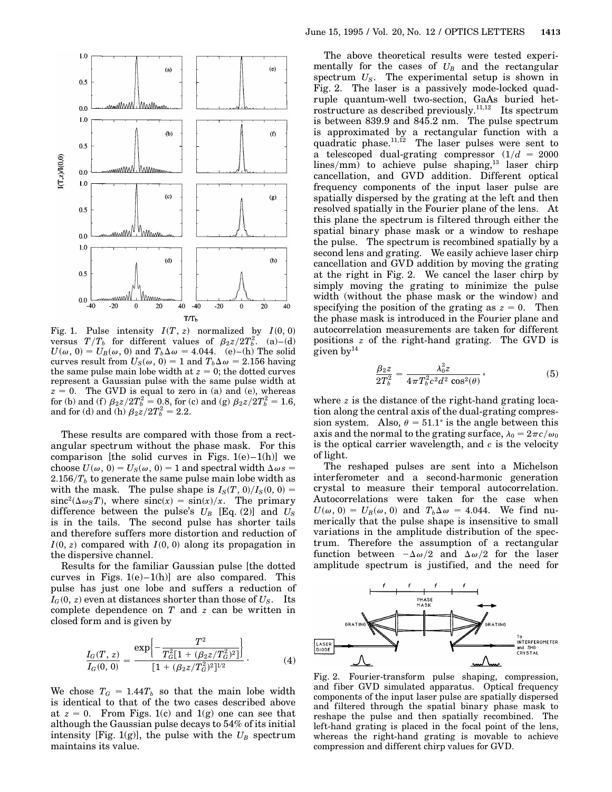

Fig. 1. Pulse intensity  $I(T, z)$  normalized by  $I(0, 0)$ versus  $T/T_b$  for different values of  $\beta_2 z/2T_b^2$ . (a)–(d)  $U(\omega, 0) = U_B(\omega, 0)$  and  $T_b\Delta\omega = 4.044$ . (e)–(h) The solid curves result from  $U_S(\omega, 0) = 1$  and  $T_b\Delta\omega = 2.156$  having the same pulse main lobe width at  $z = 0$ ; the dotted curves represent a Gaussian pulse with the same pulse width at  $z = 0$ . The GVD is equal to zero in (a) and (e), whereas for (b) and (f)  $\beta_2 z / 2T_b^2 = 0.8$ , for (c) and (g)  $\beta_2 z / 2T_b^2 = 1.6$ , and for (d) and (h)  $\beta_2 z / 2T_b^2 = 2.2$ .

These results are compared with those from a rectangular spectrum without the phase mask. For this comparison [the solid curves in Figs.  $1(e) - 1(h)$ ] we choose  $U(\omega, 0) = U_S(\omega, 0) = 1$  and spectral width  $\Delta \omega s =$  $2.156/T_b$  to generate the same pulse main lobe width as with the mask. The pulse shape is  $I_S(T, 0)/I_S(0, 0) =$  $\sin c^{2}(\Delta \omega_{S}T)$ , where  $\sin c(x) = \sin(x)/x$ . The primary difference between the pulse's  $U_B$  [Eq. (2)] and  $U_S$ is in the tails. The second pulse has shorter tails and therefore suffers more distortion and reduction of  $I(0, z)$  compared with  $I(0, 0)$  along its propagation in the dispersive channel.

Results for the familiar Gaussian pulse [the dotted curves in Figs.  $1(e)-1(h)$  are also compared. This pulse has just one lobe and suffers a reduction of  $I_G(0, z)$  even at distances shorter than those of  $U_S$ . Its complete dependence on *T* and *z* can be written in closed form and is given by

$$
\frac{I_G(T,z)}{I_G(0,0)} = \frac{\exp\left\{-\frac{T^2}{T_G^2[1 + (\beta_{2}z/T_G^2)^2]}\right\}}{[1 + (\beta_{2}z/T_G^2)^2]^{1/2}}.
$$
\n(4)

We chose  $T_G = 1.44T_b$  so that the main lobe width is identical to that of the two cases described above at  $z = 0$ . From Figs. 1(c) and 1(g) one can see that although the Gaussian pulse decays to 54% of its initial intensity [Fig. 1(g)], the pulse with the  $U_B$  spectrum maintains its value.

The above theoretical results were tested experimentally for the cases of  $U_B$  and the rectangular spectrum *US*. The experimental setup is shown in Fig. 2. The laser is a passively mode-locked quadruple quantum-well two-section, GaAs buried hetrostructure as described previously.<sup>11,12</sup> Its spectrum is between 839.9 and 845.2 nm. The pulse spectrum is approximated by a rectangular function with a quadratic phase.<sup>11,12</sup> The laser pulses were sent to a telescoped dual-grating compressor  $(1/d = 2000)$  $lines/mm$ ) to achieve pulse shaping,<sup>13</sup> laser chirp cancellation, and GVD addition. Different optical frequency components of the input laser pulse are spatially dispersed by the grating at the left and then resolved spatially in the Fourier plane of the lens. At this plane the spectrum is filtered through either the spatial binary phase mask or a window to reshape the pulse. The spectrum is recombined spatially by a second lens and grating. We easily achieve laser chirp cancellation and GVD addition by moving the grating at the right in Fig. 2. We cancel the laser chirp by simply moving the grating to minimize the pulse width (without the phase mask or the window) and specifying the position of the grating as  $z = 0$ . Then the phase mask is introduced in the Fourier plane and autocorrelation measurements are taken for different positions *z* of the right-hand grating. The GVD is given  $by<sup>14</sup>$ 

$$
\frac{\beta_2 z}{2T_b^2} = \frac{\lambda_0^3 z}{4\pi T_b^2 c^2 d^2 \cos^2(\theta)},
$$
\n(5)

where *z* is the distance of the right-hand grating location along the central axis of the dual-grating compression system. Also,  $\theta = 51.1^{\circ}$  is the angle between this axis and the normal to the grating surface,  $\lambda_0 = 2\pi c/\omega_0$ is the optical carrier wavelength, and *c* is the velocity of light.

The reshaped pulses are sent into a Michelson interferometer and a second-harmonic generation crystal to measure their temporal autocorrelation. Autocorrelations were taken for the case when  $U(\omega, 0) = U_B(\omega, 0)$  and  $T_b\Delta\omega = 4.044$ . We find numerically that the pulse shape is insensitive to small variations in the amplitude distribution of the spectrum. Therefore the assumption of a rectangular function between  $-\Delta\omega/2$  and  $\Delta\omega/2$  for the laser amplitude spectrum is justified, and the need for



Fig. 2. Fourier-transform pulse shaping, compression, and fiber GVD simulated apparatus. Optical frequency components of the input laser pulse are spatially dispersed and filtered through the spatial binary phase mask to reshape the pulse and then spatially recombined. The left-hand grating is placed in the focal point of the lens, whereas the right-hand grating is movable to achieve compression and different chirp values for GVD.